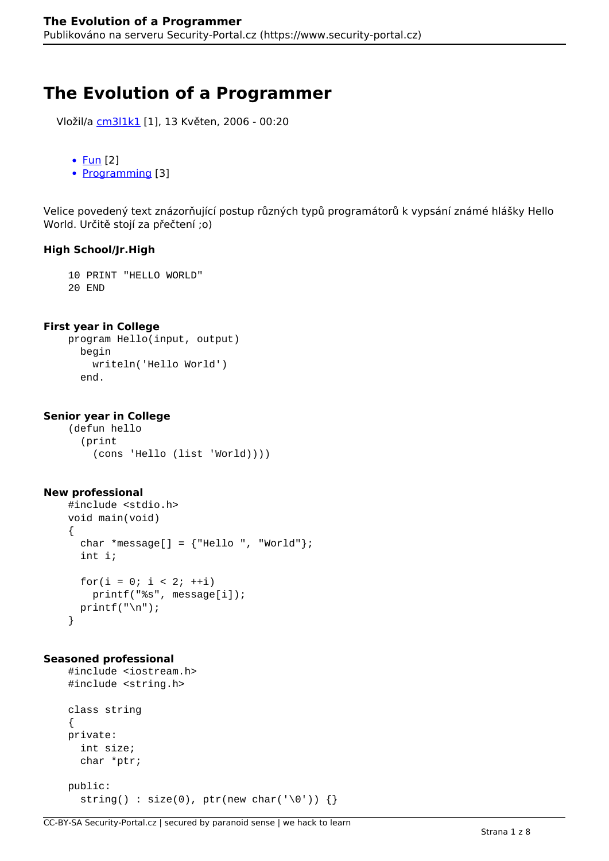# **The Evolution of a Programmer**

```
 Vložil/a cm3l1k1 [1], 13 Květen, 2006 - 00:20
```

```
\bulletFun [2]
```
• [Programming](https://www.security-portal.cz/category/tagy/programming) [3]

Velice povedený text znázorňující postup různých typů programátorů k vypsání známé hlášky Hello World. Určitě stojí za přečtení ;o)

### **High School/Jr.High**

 10 PRINT "HELLO WORLD" 20 END

#### **First year in College**

```
 program Hello(input, output)
   begin
     writeln('Hello World')
   end.
```
#### **Senior year in College**

```
 (defun hello
   (print
     (cons 'Hello (list 'World))))
```
#### **New professional**

```
 #include <stdio.h>
 void main(void)
 {
  char *message[] = {\text{``Hello''}, "World"};
   int i;
  for(i = 0; i < 2; ++i)
     printf("%s", message[i]);
  printf("n");
 }
```
#### **Seasoned professional**

```
 #include <iostream.h>
 #include <string.h>
 class string
 {
 private:
   int size;
   char *ptr;
 public:
  string() : size(0), ptr(new char('\0')) \{\}
```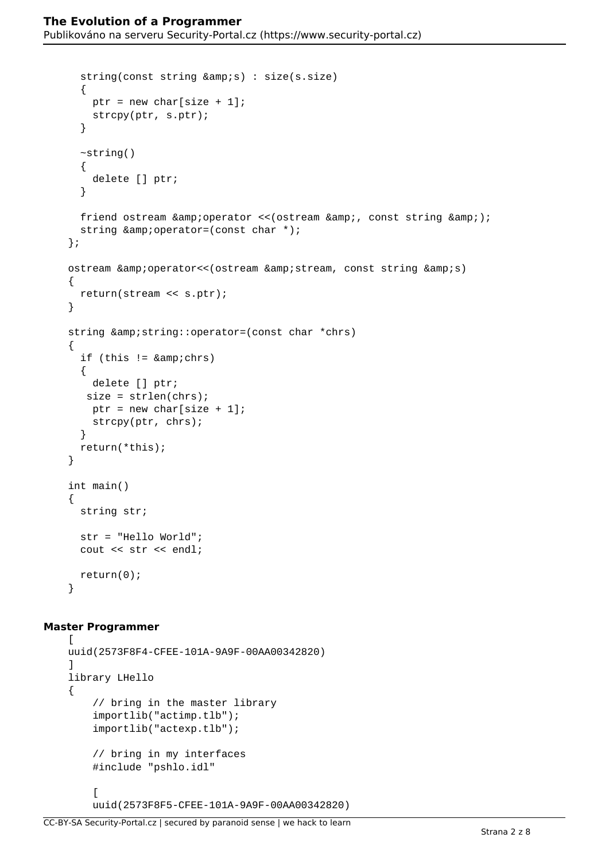```
string(const string (xamp; s)): size(s.size) {
    ptr = new char[size + 1];
     strcpy(ptr, s.ptr);
   }
   ~string()
   {
     delete [] ptr;
   }
  friend ostream & operator << (ostream & amp; , const string & amp; );
  string \&i\text{operator}=(\text{const char} *): };
ostream & operator<< (ostream & amp; stream, const string & amp; s)
 {
   return(stream << s.ptr);
 }
string & string:: operator=(const char *chrs)
 {
  if (this != & amp; chrs)
   {
     delete [] ptr;
   size = strlen(chrs);ptr = new char [size + 1];
     strcpy(ptr, chrs);
   }
   return(*this);
 }
 int main()
 {
   string str;
   str = "Hello World";
   cout << str << endl;
   return(0);
 }
```
#### **Master Programmer**

```
\lceil uuid(2573F8F4-CFEE-101A-9A9F-00AA00342820)
     ]
     library LHello
     {
         // bring in the master library
         importlib("actimp.tlb");
         importlib("actexp.tlb");
         // bring in my interfaces
         #include "pshlo.idl"
\blacksquare uuid(2573F8F5-CFEE-101A-9A9F-00AA00342820)
```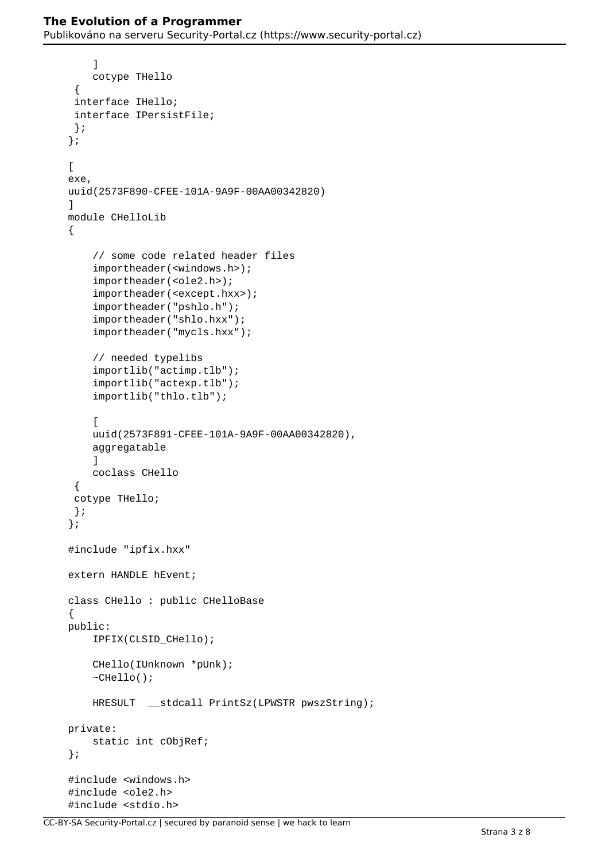```
 ]
         cotype THello
      {
      interface IHello;
      interface IPersistFile;
      };
     };
     [
    exe,
    uuid(2573F890-CFEE-101A-9A9F-00AA00342820)
     ]
    module CHelloLib
     {
         // some code related header files
         importheader(<windows.h>);
         importheader(<ole2.h>);
         importheader(<except.hxx>);
         importheader("pshlo.h");
         importheader("shlo.hxx");
         importheader("mycls.hxx");
         // needed typelibs
         importlib("actimp.tlb");
         importlib("actexp.tlb");
         importlib("thlo.tlb");
         [
         uuid(2573F891-CFEE-101A-9A9F-00AA00342820),
         aggregatable
 ]
         coclass CHello
      {
      cotype THello;
      };
     };
    #include "ipfix.hxx"
    extern HANDLE hEvent;
    class CHello : public CHelloBase
     {
    public:
         IPFIX(CLSID_CHello);
         CHello(IUnknown *pUnk);
         ~CHello();
         HRESULT __stdcall PrintSz(LPWSTR pwszString);
    private:
         static int cObjRef;
     };
     #include <windows.h>
     #include <ole2.h>
     #include <stdio.h>
```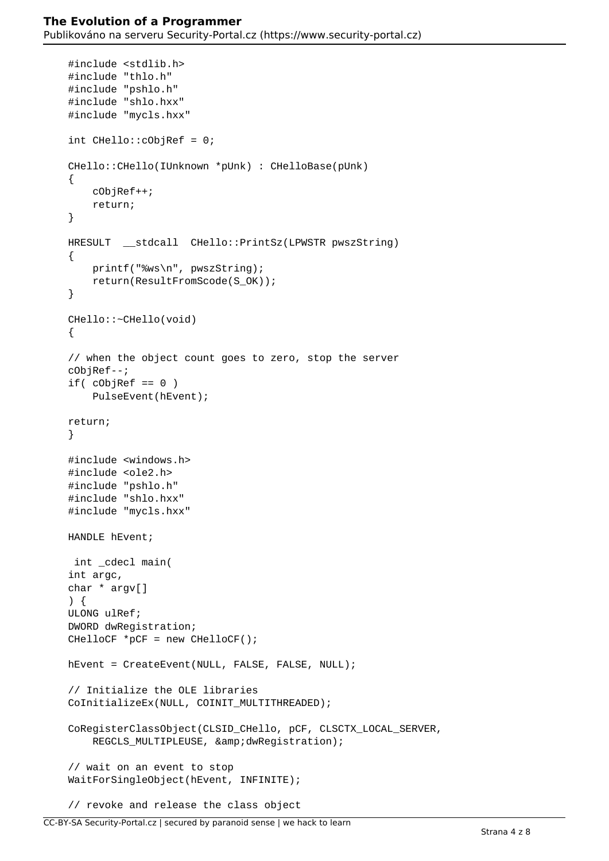```
 #include <stdlib.h>
     #include "thlo.h"
     #include "pshlo.h"
     #include "shlo.hxx"
     #include "mycls.hxx"
     int CHello::cObjRef = 0;
     CHello::CHello(IUnknown *pUnk) : CHelloBase(pUnk)
     {
         cObjRef++;
         return;
     }
     HRESULT __stdcall CHello::PrintSz(LPWSTR pwszString)
     {
         printf("%ws\n", pwszString);
         return(ResultFromScode(S_OK));
     }
     CHello::~CHello(void)
\left\{\begin{array}{c} \end{array}\right\} // when the object count goes to zero, stop the server
     cObjRef--;
    if( cobjRef == 0)PulseEvent(hEvent);
     return;
     }
     #include <windows.h>
     #include <ole2.h>
     #include "pshlo.h"
     #include "shlo.hxx"
     #include "mycls.hxx"
     HANDLE hEvent;
      int _cdecl main(
     int argc,
     char * argv[]
     ) {
     ULONG ulRef;
     DWORD dwRegistration;
     CHelloCF *pCF = new CHelloCF();
     hEvent = CreateEvent(NULL, FALSE, FALSE, NULL);
     // Initialize the OLE libraries
    CoInitializeEx(NULL, COINIT MULTITHREADED);
     CoRegisterClassObject(CLSID_CHello, pCF, CLSCTX_LOCAL_SERVER,
        REGCLS MULTIPLEUSE, & dwReqistration);
     // wait on an event to stop
     WaitForSingleObject(hEvent, INFINITE);
     // revoke and release the class object
```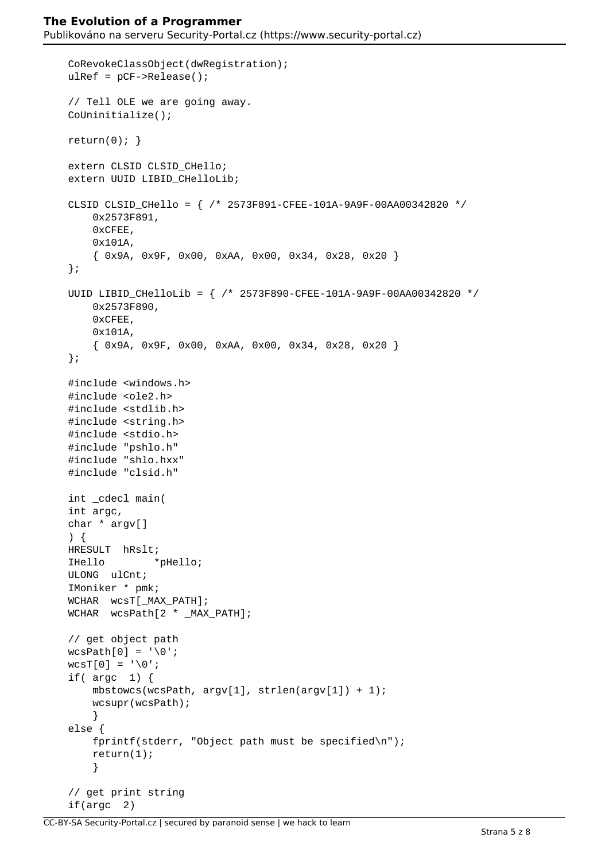```
 CoRevokeClassObject(dwRegistration);
 ulRef = pCF->Release();
 // Tell OLE we are going away.
 CoUninitialize();
return(0);}
extern CLSID CLSID CHello;
 extern UUID LIBID_CHelloLib;
 CLSID CLSID_CHello = { /* 2573F891-CFEE-101A-9A9F-00AA00342820 */
     0x2573F891,
     0xCFEE,
     0x101A,
     { 0x9A, 0x9F, 0x00, 0xAA, 0x00, 0x34, 0x28, 0x20 }
 };
 UUID LIBID_CHelloLib = { /* 2573F890-CFEE-101A-9A9F-00AA00342820 */
     0x2573F890,
     0xCFEE,
     0x101A,
     { 0x9A, 0x9F, 0x00, 0xAA, 0x00, 0x34, 0x28, 0x20 }
 };
 #include <windows.h>
 #include <ole2.h>
 #include <stdlib.h>
 #include <string.h>
 #include <stdio.h>
 #include "pshlo.h"
 #include "shlo.hxx"
 #include "clsid.h"
 int _cdecl main(
 int argc,
 char * argv[]
 ) {
 HRESULT hRslt;
 IHello *pHello;
 ULONG ulCnt;
 IMoniker * pmk;
 WCHAR wcsT[_MAX_PATH];
 WCHAR wcsPath[2 * _MAX_PATH];
 // get object path
wcsPath[0] = ' \0';wcST[0] = '\\0';if(\arg c 1) {
     mbstowcs(wcsPath, argv[1], strlen(argv[1]) + 1);
     wcsupr(wcsPath);
     }
 else {
     fprintf(stderr, "Object path must be specified\n");
     return(1);
     }
 // get print string
 if(argc 2)
```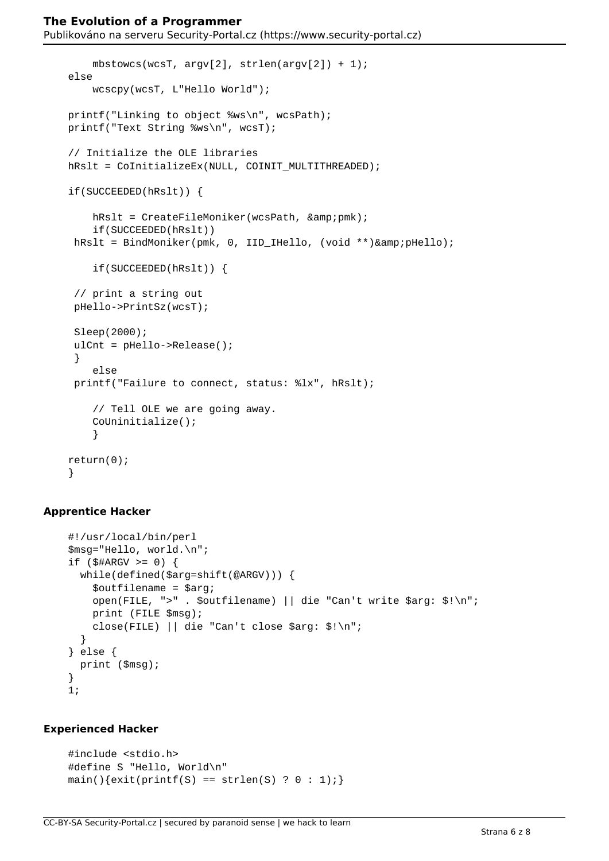```
mbstowcs(wcsT, argv[2], strlen(argv[2]) + 1);
 else
     wcscpy(wcsT, L"Hello World");
 printf("Linking to object %ws\n", wcsPath);
 printf("Text String %ws\n", wcsT);
 // Initialize the OLE libraries
hRslt = CoInitializeEx(NULL, COINIT MULTITHREADED);
 if(SUCCEEDED(hRslt)) {
    hRslt = CreateFileMoniker(wcsPath, & pmk);
     if(SUCCEEDED(hRslt))
hRslt = BindMoniker(pmk, 0, IID_IHello, (void **)& pHello);
     if(SUCCEEDED(hRslt)) {
  // print a string out
  pHello->PrintSz(wcsT);
  Sleep(2000);
  ulCnt = pHello->Release();
  }
     else
  printf("Failure to connect, status: %lx", hRslt);
     // Tell OLE we are going away.
     CoUninitialize();
     }
 return(0);
 }
```
## **Apprentice Hacker**

```
 #!/usr/local/bin/perl
 $msg="Hello, world.\n";
if (\frac{1}{2} \frac{4}{2} ARGV > = 0) {
   while(defined($arg=shift(@ARGV))) {
     $outfilename = $arg;
     open(FILE, ">" . $outfilename) || die "Can't write $arg: $!\n";
     print (FILE $msg);
     close(FILE) || die "Can't close $arg: $!\n";
   }
 } else {
   print ($msg);
 }
 1;
```
#### **Experienced Hacker**

```
 #include <stdio.h>
 #define S "Hello, World\n"
main(){exit(printf(S) == strlen(S) ? 0 : 1);}
```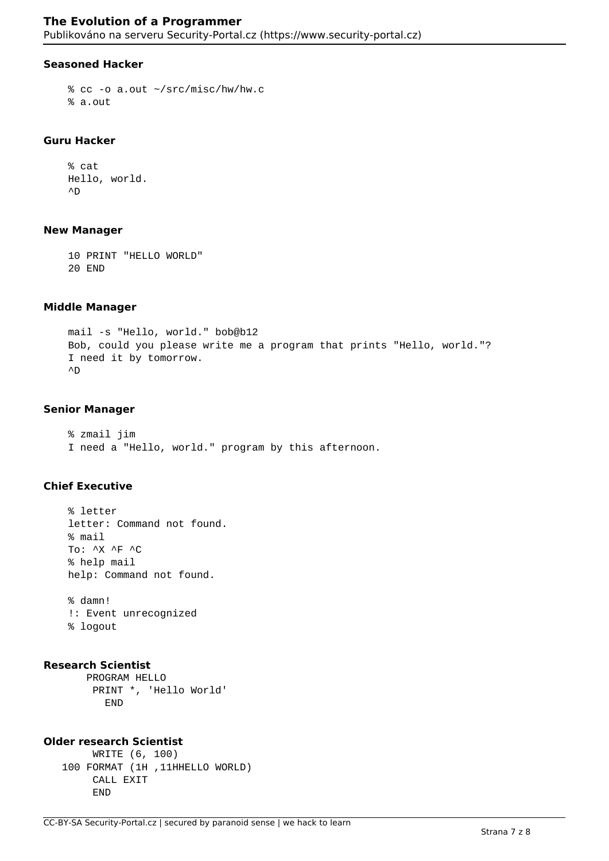#### **Seasoned Hacker**

```
 % cc -o a.out ~/src/misc/hw/hw.c
 % a.out
```
#### **Guru Hacker**

 % cat Hello, world.  $\sim_D$ 

#### **New Manager**

```
 10 PRINT "HELLO WORLD"
 20 END
```
#### **Middle Manager**

```
 mail -s "Hello, world." bob@b12
 Bob, could you please write me a program that prints "Hello, world."?
 I need it by tomorrow.
\sim_D
```
#### **Senior Manager**

 % zmail jim I need a "Hello, world." program by this afternoon.

#### **Chief Executive**

 % letter letter: Command not found. % mail To: ^X ^F ^C % help mail help: Command not found.

 % damn! !: Event unrecognized % logout

#### **Research Scientist**

 PROGRAM HELLO PRINT \*, 'Hello World' END

# **Older research Scientist**

```
 WRITE (6, 100)
 100 FORMAT (1H ,11HHELLO WORLD)
      CALL EXIT
      END
```